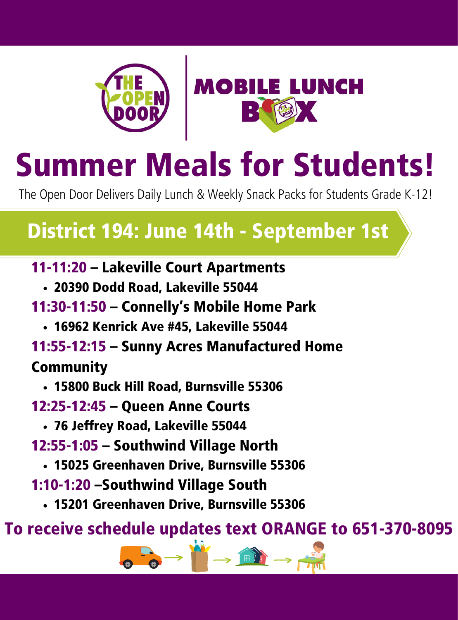



Summer Meals for Students!

The Open Door Delivers Daily Lunch & Weekly Snack Packs for Students Grade K-12!

### District 194: June 14th - September 1st

11-11:20 – Lakeville Court Apartments

- 20390 Dodd Road, Lakeville 55044
- 11:30-11:50 Connelly's Mobile Home Park
	- 16962 Kenrick Ave #45, Lakeville 55044
- 11:55-12:15 Sunny Acres Manufactured Home

### **Community**

- 15800 Buck Hill Road, Burnsville 55306
- 12:25-12:45 Queen Anne Courts
	- 76 Jeffrey Road, Lakeville 55044
- 12:55-1:05 Southwind Village North
	- 15025 Greenhaven Drive, Burnsville 55306
- 1:10-1:20 –Southwind Village South
	- 15201 Greenhaven Drive, Burnsville 55306

To receive schedule updates text ORANGE to 651-370-8095